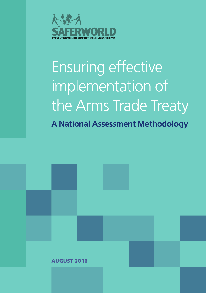

## Ensuring effective implementation of the Arms Trade Treaty **A National Assessment Methodology**

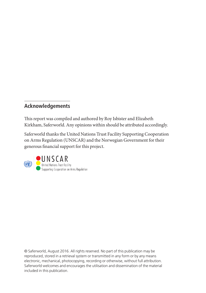#### **Acknowledgements**

This report was compiled and authored by Roy Isbister and Elizabeth Kirkham, Saferworld. Any opinions within should be attributed accordingly.

Saferworld thanks the United Nations Trust Facility Supporting Cooperation on Arms Regulation (UNSCAR) and the Norwegian Government for their generous financial support for this project.



© Saferworld, August 2016. All rights reserved. No part of this publication may be reproduced, stored in a retrieval system or transmitted in any form or by any means electronic, mechanical, photocopying, recording or otherwise, without full attribution. Saferworld welcomes and encourages the utilisation and dissemination of the material included in this publication.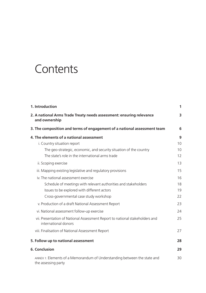## **Contents**

| 1. Introduction                                                                                      | 1  |
|------------------------------------------------------------------------------------------------------|----|
| 2. A national Arms Trade Treaty needs assessment: ensuring relevance<br>and ownership                | 3  |
| 3. The composition and terms of engagement of a national assessment team                             | 6  |
| 4. The elements of a national assessment                                                             | 9  |
| i. Country situation report                                                                          | 10 |
| The geo-strategic, economic, and security situation of the country                                   | 10 |
| The state's role in the international arms trade                                                     | 12 |
| ii. Scoping exercise                                                                                 | 13 |
| iii. Mapping existing legislative and regulatory provisions                                          | 15 |
| iv. The national assessment exercise                                                                 | 16 |
| Schedule of meetings with relevant authorities and stakeholders                                      | 18 |
| Issues to be explored with different actors                                                          | 19 |
| Cross-governmental case study workshop                                                               | 22 |
| v. Production of a draft National Assessment Report                                                  | 23 |
| vi. National assessment follow-up exercise                                                           | 24 |
| vii. Presentation of National Assessment Report to national stakeholders and<br>international donors | 25 |
| viii. Finalisation of National Assessment Report                                                     | 27 |
| 5. Follow up to national assessment                                                                  | 28 |
| 6. Conclusion                                                                                        | 29 |
| ANNEX 1: Elements of a Memorandum of Understanding between the state and<br>the assessing party      | 30 |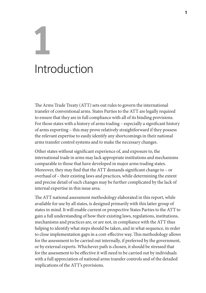# **1** Introduction

The Arms Trade Treaty (ATT) sets out rules to govern the international transfer of conventional arms. States Parties to the ATT are legally required to ensure that they are in full compliance with all of its binding provisions. For those states with a history of arms trading – especially a significant history of arms exporting – this may prove relatively straightforward if they possess the relevant expertise to easily identify any shortcomings in their national arms transfer control systems and to make the necessary changes.

Other states without significant experience of, and exposure to, the international trade in arms may lack appropriate institutions and mechanisms comparable to those that have developed in major arms trading states. Moreover, they may find that the ATT demands significant change to – or overhaul of – their existing laws and practices, while determining the extent and precise detail of such changes may be further complicated by the lack of internal expertise in this issue area.

The ATT national assessment methodology elaborated in this report, while available for use by all states, is designed primarily with this latter group of states in mind. It will enable current or prospective States Parties to the ATT to gain a full understanding of how their existing laws, regulations, institutions, mechanisms and practices are, or are not, in compliance with the ATT thus helping to identify what steps should be taken, and in what sequence, in order to close implementation gaps in a cost-effective way. This methodology allows for the assessment to be carried out internally, if preferred by the government, or by external experts. Whichever path is chosen, it should be stressed that for the assessment to be effective it will need to be carried out by individuals with a full appreciation of national arms transfer controls and of the detailed implications of the ATT's provisions.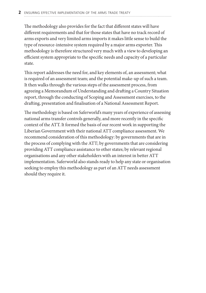The methodology also provides for the fact that different states will have different requirements and that for those states that have no track record of arms exports and very limited arms imports it makes little sense to build the type of resource-intensive system required by a major arms exporter. This methodology is therefore structured very much with a view to developing an efficient system appropriate to the specific needs and capacity of a particular state.

This report addresses the need for, and key elements of, an assessment; what is required of an assessment team; and the potential make-up of such a team. It then walks through the various steps of the assessment process, from agreeing a Memorandum of Understanding and drafting a Country Situation report, through the conducting of Scoping and Assessment exercises, to the drafting, presentation and finalisation of a National Assessment Report.

The methodology is based on Saferworld's many years of experience of assessing national arms transfer controls generally, and more recently in the specific context of the ATT. It formed the basis of our recent work in supporting the Liberian Government with their national ATT compliance assessment. We recommend consideration of this methodology: by governments that are in the process of complying with the ATT; by governments that are considering providing ATT compliance assistance to other states; by relevant regional organisations and any other stakeholders with an interest in better ATT implementation. Saferworld also stands ready to help any state or organisation seeking to employ this methodology as part of an ATT needs assessment should they require it.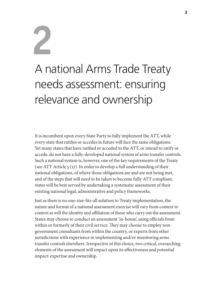## A national Arms Trade Treaty needs assessment: ensuring relevance and ownership

**2**

It is incumbent upon every State Party to fully implement the ATT, while every state that ratifies or accedes in future will face the same obligations. Yet many states that have ratified or acceded to the ATT, or intend to ratify or accede, do not have a fully-developed national system of arms transfer controls. Such a national system is, however, one of the key requirements of the Treaty (see ATT Article  $5(2)$ ). In order to develop a full understanding of their national obligations, of where those obligations are and are not being met, and of the steps that will need to be taken to become fully ATT compliant, states will be best served by undertaking a systematic assessment of their existing national legal, administrative and policy frameworks.

Just as there is no one-size-fits-all solution to Treaty implementation, the nature and format of a national assessment exercise will vary from context to context as will the identity and affiliation of those who carry out the assessment. States may choose to conduct an assessment 'in-house', using officials from within or formerly of their civil service. They may choose to employ nongovernment consultants from within the country, or experts from other jurisdictions with experience in implementing and/or monitoring arms transfer controls elsewhere. Irrespective of this choice, two critical, overarching elements of the assessment will impact upon its effectiveness and potential impact: expertise and ownership.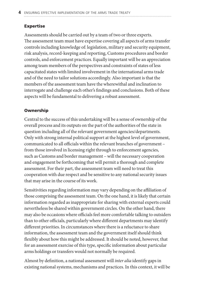#### Expertise

Assessments should be carried out by a team of two or three experts. The assessment team must have expertise covering all aspects of arms transfer controls including knowledge of: legislation, military and security equipment, risk analysis, record-keeping and reporting, Customs procedures and border controls, and enforcement practices. Equally important will be an appreciation among team members of the perspectives and constraints of states of less capacitated states with limited involvement in the international arms trade and of the need to tailor solutions accordingly. Also important is that the members of the assessment team have the wherewithal and inclination to interrogate and challenge each other's findings and conclusions. Both of these aspects will be fundamental to delivering a robust assessment.

#### Ownership

Central to the success of this undertaking will be a sense of ownership of the overall process and its outputs on the part of the authorities of the state in question including all of the relevant government agencies/departments. Only with strong internal political support at the highest level of government, communicated to all officials within the relevant branches of government – from those involved in licensing right through to enforcement agencies, such as Customs and border management – will the necessary cooperation and engagement be forthcoming that will permit a thorough and complete assessment. For their part, the assessment team will need to treat this cooperation with due respect and be sensitive to any national security issues that may arise in the course of its work.

Sensitivities regarding information may vary depending on the affiliation of those comprising the assessment team. On the one hand, it is likely that certain information regarded as inappropriate for sharing with external experts could nevertheless be shared within government circles. On the other hand, there may also be occasions where officials feel more comfortable talking to outsiders than to other officials, particularly where different departments may identify different priorities. In circumstances where there is a reluctance to share information, the assessment team and the government itself should think flexibly about how this might be addressed. It should be noted, however, that for an assessment exercise of this type, specific information about particular arms holdings or transfers would not normally be required.

Almost by definition, a national assessment will *inter alia* identify gaps in existing national systems, mechanisms and practices. In this context, it will be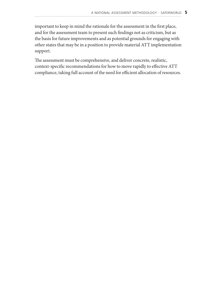important to keep in mind the rationale for the assessment in the first place, and for the assessment team to present such findings not as criticism, but as the basis for future improvements and as potential grounds for engaging with other states that may be in a position to provide material ATT implementation support.

The assessment must be comprehensive, and deliver concrete, realistic, context-specific recommendations for how to move rapidly to effective ATT compliance, taking full account of the need for efficient allocation of resources.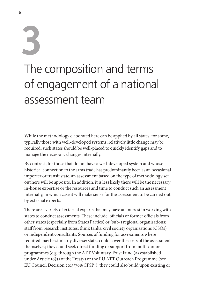## **3** The composition and terms of engagement of a national assessment team

While the methodology elaborated here can be applied by all states, for some, typically those with well-developed systems, relatively little change may be required; such states should be well-placed to quickly identify gaps and to manage the necessary changes internally.

By contrast, for those that do not have a well-developed system and whose historical connection to the arms trade has predominantly been as an occasional importer or transit state, an assessment based on the type of methodology set out here will be apposite. In addition, it is less likely there will be the necessary in-house expertise or the resources and time to conduct such an assessment internally, in which case it will make sense for the assessment to be carried out by external experts.

There are a variety of external experts that may have an interest in working with states to conduct assessments. These include: officials or former officials from other states (especially from States Parties) or (sub-) regional organisations; staff from research institutes, think tanks, civil society organisations (CSOs) or independent consultants. Sources of funding for assessments where required may be similarly diverse: states could cover the costs of the assessment themselves; they could seek direct funding or support from multi-donor programmes (e.g. through the ATT Voluntary Trust Fund (as established under Article 16(3) of the Treaty) or the EU ATT Outreach Programme (see EU Council Decision 2013/768/CFSP1); they could also build upon existing or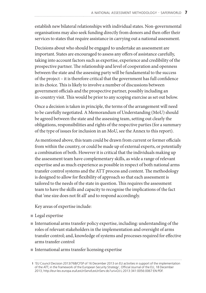establish new bilateral relationships with individual states. Non-governmental organisations may also seek funding directly from donors and then offer their services to states that require assistance in carrying out a national assessment.

Decisions about who should be engaged to undertake an assessment are important. States are encouraged to assess any offers of assistance carefully, taking into account factors such as expertise, experience and credibility of the prospective partner. The relationship and level of cooperation and openness between the state and the assessing party will be fundamental to the success of the project – it is therefore critical that the government has full confidence in its choice. This is likely to involve a number of discussions between government officials and the prospective partner, possibly including an in-country visit. This would be prior to any scoping exercise as set out below.

Once a decision is taken in principle, the terms of the arrangement will need to be carefully negotiated. A Memorandum of Understanding (MoU) should be agreed between the state and the assessing team, setting out clearly the obligations, responsibilities and rights of the respective parties (for a summary of the type of issues for inclusion in an MoU, see the Annex to this report).

As mentioned above, this team could be drawn from current or former officials from within the country, or could be made up of external experts, or potentially a combination of both. However it is critical that the individuals making up the assessment team have complementary skills, as wide a range of relevant expertise and as much experience as possible in respect of both national arms transfer control systems and the ATT process and content. The methodology is designed to allow for flexibility of approach so that each assessment is tailored to the needs of the state in question. This requires the assessment team to have the skills and capacity to recognise the implications of the fact that 'one size does not fit all' and to respond accordingly.

Key areas of expertise include:

- $\blacksquare$  Legal expertise
- $\blacksquare$  International arms transfer policy expertise, including: understanding of the roles of relevant stakeholders in the implementation and oversight of arms transfer control; and, knowledge of systems and processes required for effective arms transfer control
- $\blacksquare$  International arms transfer licensing expertise

**<sup>1</sup>** 'EU Council Decision 2013/768/CFSP of 16 December 2013 on EU activities in support of the implementation of the ATT, in the framework of the European Security Strategy', Official Journal of the EU, 18 December 2013, http://eur-lex.europa.eu/LexUriServ/LexUriServ.do?uri=OJ:L:2013:341:0056:0067:EN:PDF.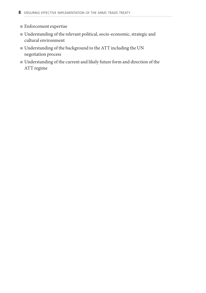- $\blacksquare$  Enforcement expertise
- <sup>n</sup> Understanding of the relevant political, socio-economic, strategic and cultural environment
- $\blacksquare$  Understanding of the background to the ATT including the UN negotiation process
- $\blacksquare$  Understanding of the current and likely future form and direction of the ATT regime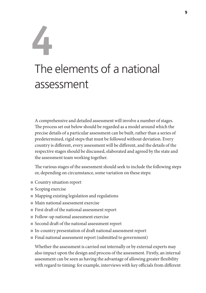## **4** The elements of a national assessment

A comprehensive and detailed assessment will involve a number of stages. The process set out below should be regarded as a model around which the precise details of a particular assessment can be built, rather than a series of predetermined, rigid steps that must be followed without deviation. Every country is different, every assessment will be different, and the details of the respective stages should be discussed, elaborated and agreed by the state and the assessment team working together.

The various stages of the assessment should seek to include the following steps or, depending on circumstance, some variation on these steps:

- Country situation report
- $\blacksquare$  Scoping exercise
- Mapping existing legislation and regulations
- $\blacksquare$  Main national assessment exercise
- $\blacksquare$  First draft of the national assessment report
- Follow-up national assessment exercise
- Second draft of the national assessment report
- <sup>n</sup> In-country presentation of draft national assessment report
- <sup>n</sup> Final national assessment report (submitted to government)

Whether the assessment is carried out internally or by external experts may also impact upon the design and process of the assessment. Firstly, an internal assessment can be seen as having the advantage of allowing greater flexibility with regard to timing: for example, interviews with key officials from different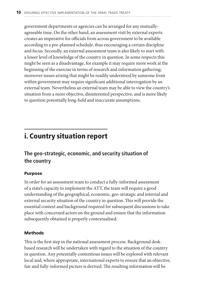government departments or agencies can be arranged for any mutuallyagreeable time. On the other hand, an assessment visit by external experts creates an imperative for officials from across government to be available according to a pre-planned schedule, thus encouraging a certain discipline and focus. Secondly, an external assessment team is also likely to start with a lower level of knowledge of the country in question. In some respects this might be seen as a disadvantage, for example it may require more work at the beginning of the exercise in terms of research and information gathering; moreover issues arising that might be readily understood by someone from within government may require significant additional interrogation by an external team. Nevertheless an external team may be able to view the country's situation from a more objective, disinterested perspective, and is more likely to question potentially long-held and inaccurate assumptions.

### i. Country situation report

#### **The geo-strategic, economic, and security situation of the country**

#### Purpose

In order for an assessment team to conduct a fully-informed assessment of a state's capacity to implement the ATT, the team will require a good understanding of the geographical, economic, geo-strategic and internal and external security situation of the country in question. This will provide the essential context and background required for subsequent discussions to take place with concerned actors on the ground and ensure that the information subsequently obtained is properly contextualised.

#### Methods

This is the first step in the national assessment process. Background deskbased research will be undertaken with regard to the situation of the country in question. Any potentially contentious issues will be explored with relevant local and, where appropriate, international experts to ensure that an objective, fair and fully-informed picture is derived. The resulting information will be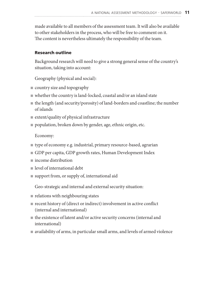made available to all members of the assessment team. It will also be available to other stakeholders in the process, who will be free to comment on it. The content is nevertheless ultimately the responsibility of the team.

#### Research outline

Background research will need to give a strong general sense of the country's situation, taking into account:

Geography (physical and social):

- $\blacksquare$  country size and topography
- $\blacksquare$  whether the country is land-locked, coastal and/or an island state
- $\blacksquare$  the length (and security/porosity) of land-borders and coastline; the number of islands
- $\blacksquare$  extent/quality of physical infrastructure
- $\blacksquare$  population, broken down by gender, age, ethnic origin, etc.

Economy:

- $\blacksquare$  type of economy e.g. industrial, primary resource-based, agrarian
- <sup>n</sup> GDP per capita, GDP growth rates, Human Development Index
- <sup>n</sup> income distribution
- $\blacksquare$  level of international debt
- $\blacksquare$  support from, or supply of, international aid

Geo-strategic and internal and external security situation:

- $\blacksquare$  relations with neighbouring states
- $\blacksquare$  recent history of (direct or indirect) involvement in active conflict (internal and international)
- $\blacksquare$  the existence of latent and/or active security concerns (internal and international)
- $\blacksquare$  availability of arms, in particular small arms, and levels of armed violence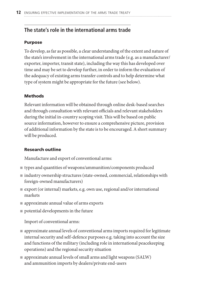#### **The state's role in the international arms trade**

#### Purpose

To develop, as far as possible, a clear understanding of the extent and nature of the state's involvement in the international arms trade (e.g. as a manufacturer/ exporter, importer, transit state), including the way this has developed over time and may be set to develop further, in order to inform the evaluation of the adequacy of existing arms transfer controls and to help determine what type of system might be appropriate for the future (see below).

#### **Methods**

Relevant information will be obtained through online desk-based searches and through consultation with relevant officials and relevant stakeholders during the initial in-country scoping visit. This will be based on public source information, however to ensure a comprehensive picture, provision of additional information by the state is to be encouraged. A short summary will be produced.

#### Research outline

Manufacture and export of conventional arms:

- $\blacksquare$  types and quantities of weapons/ammunition/components produced
- <sup>n</sup> industry ownership structures (state-owned, commercial, relationships with foreign-owned manufacturers)
- $\blacksquare$  export (or internal) markets, e.g. own use, regional and/or international markets
- $\blacksquare$  approximate annual value of arms exports
- $\blacksquare$  potential developments in the future

Import of conventional arms:

- $\blacksquare$  approximate annual levels of conventional arms imports required for legitimate internal security and self-defence purposes e.g. taking into account the size and functions of the military (including role in international peacekeeping operations) and the regional security situation
- <sup>n</sup> approximate annual levels of small arms and light weapons (SALW) and ammunition imports by dealers/private end-users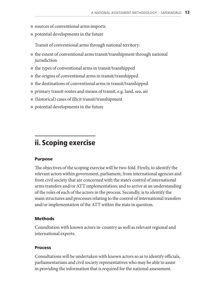- sources of conventional arms imports
- $\blacksquare$  potential developments in the future

Transit of conventional arms through national territory:

- $\blacksquare$  the extent of conventional arms transit/transhipment through national jurisdiction
- $\blacksquare$  the types of conventional arms in transit/transhipped
- $\blacksquare$  the origins of conventional arms in transit/transhipped
- $\blacksquare$  the destinations of conventional arms in transit/transhipped
- <sup>n</sup> primary transit routes and means of transit, e.g. land, sea, air
- $\blacksquare$  (historical) cases of illicit transit/transhipment
- $\blacksquare$  potential developments in the future

### ii. Scoping exercise

#### Purpose

The objectives of the scoping exercise will be two-fold. Firstly, to identify the relevant actors within government, parliament, from international agencies and from civil society that are concerned with the state's control of international arms transfers and/or ATT implementation; and to arrive at an understanding of the roles of each of the actors in the process. Secondly, is to identify the main structures and processes relating to the control of international transfers and/or implementation of the ATT within the state in question.

#### Methods

Consultation with known actors in-country as well as relevant regional and international experts.

#### Process

Consultations will be undertaken with known actors so as to identify officials, parliamentarians and civil society representatives who may be able to assist in providing the information that is required for the national assessment.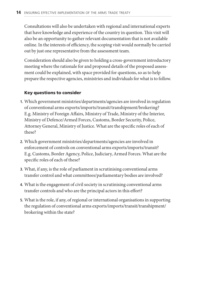Consultations will also be undertaken with regional and international experts that have knowledge and experience of the country in question. This visit will also be an opportunity to gather relevant documentation that is not available online. In the interests of efficiency, the scoping visit would normally be carried out by just one representative from the assessment team.

Consideration should also be given to holding a cross-government introductory meeting where the rationale for and proposed details of the proposed assessment could be explained, with space provided for questions, so as to help prepare the respective agencies, ministries and individuals for what is to follow.

#### Key questions to consider

- **1.** Which government ministries/departments/agencies are involved in regulation of conventional arms exports/imports/transit/transhipment/brokering? E.g. Ministry of Foreign Affairs, Ministry of Trade, Ministry of the Interior, Ministry of Defence/Armed Forces, Customs, Border Security, Police, Attorney General, Ministry of Justice. What are the specific roles of each of these?
- **2.** Which government ministries/departments/agencies are involved in enforcement of controls on conventional arms exports/imports/transit? E.g. Customs, Border Agency, Police, Judiciary, Armed Forces. What are the specific roles of each of these?
- **3.** What, if any, is the role of parliament in scrutinising conventional arms transfer control and what committees/parliamentary bodies are involved?
- **4.** What is the engagement of civil society in scrutinising conventional arms transfer controls and who are the principal actors in this effort?
- **5.** What is the role, if any, of regional or international organisations in supporting the regulation of conventional arms exports/imports/transit/transhipment/ brokering within the state?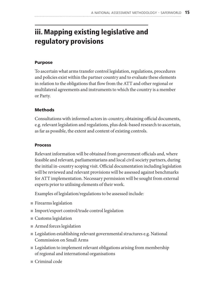## iii. Mapping existing legislative and regulatory provisions

#### Purpose

To ascertain what arms transfer control legislation, regulations, procedures and policies exist within the partner country and to evaluate these elements in relation to the obligations that flow from the ATT and other regional or multilateral agreements and instruments to which the country is a member or Party.

#### Methods

Consultations with informed actors in-country, obtaining official documents, e.g. relevant legislation and regulations, plus desk-based research to ascertain, as far as possible, the extent and content of existing controls.

#### Process

Relevant information will be obtained from government officials and, where feasible and relevant, parliamentarians and local civil society partners, during the initial in-country scoping visit. Official documentation including legislation will be reviewed and relevant provisions will be assessed against benchmarks for ATT implementation. Necessary permission will be sought from external experts prior to utilising elements of their work.

Examples of legislation/regulations to be assessed include:

- $\blacksquare$  Firearms legislation
- $\blacksquare$  Import/export control/trade control legislation
- $\blacksquare$  Customs legislation
- $\blacksquare$  Armed forces legislation
- Legislation establishing relevant governmental structures e.g. National Commission on Small Arms
- Legislation to implement relevant obligations arising from membership of regional and international organisations
- $\blacksquare$  Criminal code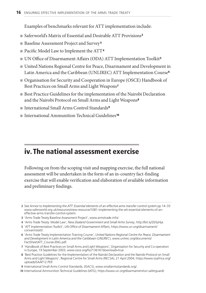Examples of benchmarks relevant for ATT implementation include:

- Saferworld's Matrix of Essential and Desirable ATT Provisions<sup>2</sup>
- Baseline Assessment Project and Survey<sup>3</sup>
- $\blacksquare$  Pacific Model Law to Implement the ATT<sup>4</sup>
- UN Office of Disarmament Affairs (ODA) ATT Implementation Toolkit<sup>5</sup>
- <sup>n</sup> United Nations Regional Centre for Peace, Disarmament and Development in Latin America and the Caribbean (UNLIREC) ATT Implementation Course<sup>6</sup>
- <sup>n</sup> Organisation for Security and Cooperation in Europe (OSCE) Handbook of Best Practices on Small Arms and Light Weapons<sup>7</sup>
- <sup>n</sup> Best Practice Guidelines for the implementation of the Nairobi Declaration and the Nairobi Protocol on Small Arms and Light Weapons<sup>8</sup>
- International Small Arms Control Standards<sup>9</sup>
- <sup>n</sup> International Ammunition Technical Guidelines<sup>10</sup>

## iv. The national assessment exercise

Following on from the scoping visit and mapping exercise, the full national assessment will be undertaken in the form of an in-country fact-finding exercise that will enable verification and elaboration of available information and preliminary findings.

- **4** 'Arms Trade Treaty: Model Law', *New Zealand Government and Small Arms Survey*, http://bit.ly/2b5yHja.
- **5** 'ATT Implementation Toolkit', *UN Office of Disarmament Affairs*, https://www.un.org/disarmament/ convarms/att/.
- **6** 'Arms Trade Treaty Implementation Training Course', *United Nations Regional Centre for Peace, Disarmament and Development in Latin America and the Caribbean* (*UNLIREC*), www.unlirec.org/documents/ FactSheetATT\_Course-ENG.pdf.
- **7** 'Handbook of Best Practices on Small Arms and Light Weapons', Organisation for Security and Co-operation in Europe, 19 September 2003, www.osce.org/fsc/13616?download=true.
- **8** 'Best Practice Guidelines for the Implementation of the Nairobi Declaration and the Nairobi Protocol on Small Arms and Light Weapons', Regional Centre for Small Arms (RECSA), 21 April 2004, https://www.issafrica.org/ uploads/SAAF12.PDF.
- **9** International Small Arms Control Standards, (ISACS), www.smallarmsstandards.org/.
- **10** International Ammunition Technical Guidelines (IATG), https://www.un.org/disarmament/un-saferguard/.

**<sup>2</sup>** See Annex to *Implementing the ATT: Essential elements of an effective arms transfer control system* pp 14–33 www.saferworld.org.uk/resources/view-resource/1081-implementing-the-att-essential-elements-of-aneffective-arms-transfer-control-system.

**<sup>3</sup>** 'Arms Trade Treaty Baseline Assessment Project', www.armstrade.info/.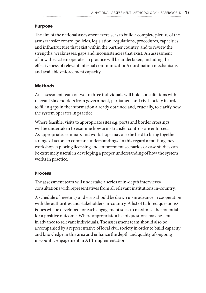#### Purpose

The aim of the national assessment exercise is to build a complete picture of the arms transfer control policies, legislation, regulations, procedures, capacities and infrastructure that exist within the partner country, and to review the strengths, weaknesses, gaps and inconsistencies that exist. An assessment of how the system operates in practice will be undertaken, including the effectiveness of relevant internal communication/coordination mechanisms and available enforcement capacity.

#### Methods

An assessment team of two to three individuals will hold consultations with relevant stakeholders from government, parliament and civil society in order to fill in gaps in the information already obtained and, crucially, to clarify how the system operates in practice.

Where feasible, visits to appropriate sites e.g. ports and border crossings, will be undertaken to examine how arms transfer controls are enforced. As appropriate, seminars and workshops may also be held to bring together a range of actors to compare understandings. In this regard a multi-agency workshop exploring licensing and enforcement scenarios or case studies can be extremely useful in developing a proper understanding of how the system works in practice.

#### Process

The assessment team will undertake a series of in-depth interviews/ consultations with representatives from all relevant institutions in-country.

A schedule of meetings and visits should be drawn up in advance in cooperation with the authorities and stakeholders in-country. A list of tailored questions/ issues will be developed for each engagement so as to maximise the potential for a positive outcome. Where appropriate a list of questions may be sent in advance to relevant individuals. The assessment team should also be accompanied by a representative of local civil society in order to build capacity and knowledge in this area and enhance the depth and quality of ongoing in-country engagement in ATT implementation.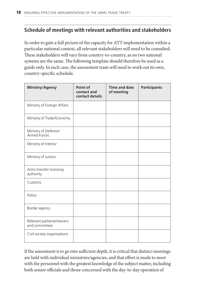#### **Schedule of meetings with relevant authorities and stakeholders**

In order to gain a full picture of the capacity for ATT implementation within a particular national context, all relevant stakeholders will need to be consulted. These stakeholders will vary from country-to-country, as no two national systems are the same. The following template should therefore be used as a guide only. In each case, the assessment team will need to work out its own, country-specific schedule.

| Ministry/Agency                             | Point of<br>contact and<br>contact details | <b>Time and date</b><br>of meeting | <b>Participants</b> |
|---------------------------------------------|--------------------------------------------|------------------------------------|---------------------|
| Ministry of Foreign Affairs                 |                                            |                                    |                     |
| Ministry of Trade/Economy                   |                                            |                                    |                     |
| Ministry of Defence/<br><b>Armed Forces</b> |                                            |                                    |                     |
| Ministry of Interior                        |                                            |                                    |                     |
| Ministry of Justice                         |                                            |                                    |                     |
| Arms transfer licensing<br>authority        |                                            |                                    |                     |
| Customs                                     |                                            |                                    |                     |
| Police                                      |                                            |                                    |                     |
| Border agency                               |                                            |                                    |                     |
| Relevant parliamentarians<br>and committees |                                            |                                    |                     |
| Civil society organisations                 |                                            |                                    |                     |

If the assessment is to go into sufficient depth, it is critical that distinct meetings are held with individual ministries/agencies, and that effort is made to meet with the personnel with the greatest knowledge of the subject matter, including both senior officials and those concerned with the day-to-day operation of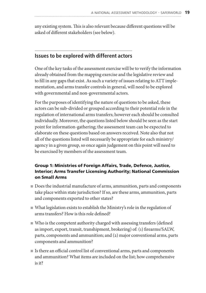any existing system. This is also relevant because different questions will be asked of different stakeholders (see below).

#### **Issues to be explored with different actors**

One of the key tasks of the assessment exercise will be to verify the information already obtained from the mapping exercise and the legislative review and to fill in any gaps that exist. As such a variety of issues relating to ATT implementation, and arms transfer controls in general, will need to be explored with governmental and non-governmental actors.

For the purposes of identifying the nature of questions to be asked, these actors can be sub-divided or grouped according to their potential role in the regulation of international arms transfers; however each should be consulted individually. Moreover, the questions listed below should be seen as the start point for information-gathering; the assessment team can be expected to elaborate on these questions based on answers received. Note also that not all of the questions listed will necessarily be appropriate for each ministry/ agency in a given group, so once again judgement on this point will need to be exercised by members of the assessment team.

#### Group 1: Ministries of Foreign Affairs, Trade, Defence, Justice, Interior; Arms Transfer Licensing Authority; National Commission on Small Arms

- <sup>n</sup> Does the industrial manufacture of arms, ammunition, parts and components take place within state jurisdiction? If so, are these arms, ammunition, parts and components exported to other states?
- $\blacksquare$  What legislation exists to establish the Ministry's role in the regulation of arms transfers? How is this role defined?
- $\blacksquare$  Who is the competent authority charged with assessing transfers (defined as import, export, transit, transhipment, brokering) of: (1) firearms/SALW, parts, components and ammunition; and (2) major conventional arms, parts components and ammunition?
- <sup>n</sup> Is there an official control list of conventional arms, parts and components and ammunition? What items are included on the list; how comprehensive is it?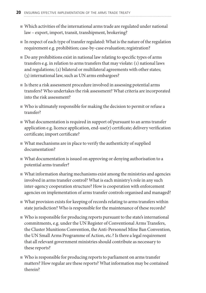- <sup>n</sup> Which activities of the international arms trade are regulated under national law – export, import, transit, transhipment, brokering?
- $\blacksquare$  In respect of each type of transfer regulated: What is the nature of the regulation requirement e.g. prohibition; case-by-case evaluation; registration?
- $\Box$  Do any prohibitions exist in national law relating to specific types of arms transfers e.g. in relation to arms transfers that may violate: (1) national laws and regulations; (2) bilateral or multilateral agreements with other states; (3) international law, such as UN arms embargoes?
- <sup>n</sup> Is there a risk assessment procedure involved in assessing potential arms transfers? Who undertakes the risk assessment? What criteria are incorporated into the risk assessment?
- $\blacksquare$  Who is ultimately responsible for making the decision to permit or refuse a transfer?
- $\blacksquare$  What documentation is required in support of/pursuant to an arms transfer application e.g. licence application, end-use(r) certificate; delivery verification certificate; import certificate?
- $\blacksquare$  What mechanisms are in place to verify the authenticity of supplied documentation?
- What documentation is issued on approving or denying authorisation to a potential arms transfer?
- $\blacksquare$  What information sharing mechanisms exist among the ministries and agencies involved in arms transfer control? What is each ministry's role in any such inter-agency cooperation structure? How is cooperation with enforcement agencies on implementation of arms transfer controls organised and managed?
- $\blacksquare$  What provision exists for keeping of records relating to arms transfers within state jurisdiction? Who is responsible for the maintenance of these records?
- $\blacksquare$  Who is responsible for producing reports pursuant to the state's international commitments, e.g. under the UN Register of Conventional Arms Transfers, the Cluster Munitions Convention, the Anti-Personnel Mine Ban Convention, the UN Small Arms Programme of Action, etc.? Is there a legal requirement that all relevant government ministries should contribute as necessary to these reports?
- <sup>n</sup> Who is responsible for producing reports to parliament on arms transfer matters? How regular are these reports? What information may be contained therein?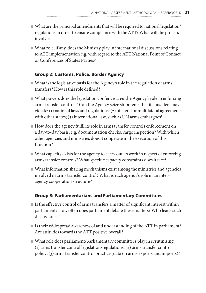- What are the principal amendments that will be required to national legislation/ regulations in order to ensure compliance with the ATT? What will the process involve?
- $\blacksquare$  What role, if any, does the Ministry play in international discussions relating to ATT implementation e.g. with regard to the ATT National Point of Contact or Conferences of States Parties?

#### Group 2: Customs, Police, Border Agency

- <sup>n</sup> What is the legislative basis for the Agency's role in the regulation of arms transfers? How is this role defined?
- What powers does the legislation confer *vis a vis* the Agency's role in enforcing arms transfer controls? Can the Agency seize shipments that it considers may violate: (1) national laws and regulations; (2) bilateral or multilateral agreements with other states; (3) international law, such as UN arms embargoes?
- <sup>n</sup> How does the agency fulfil its role in arms transfer controls enforcement on a day-to-day basis, e.g. documentation checks, cargo inspection? With which other agencies and ministries does it cooperate in the execution of this function?
- $\blacksquare$  What capacity exists for the agency to carry out its work in respect of enforcing arms transfer controls? What specific capacity constraints does it face?
- $\blacksquare$  What information sharing mechanisms exist among the ministries and agencies involved in arms transfer control? What is each agency's role in an interagency cooperation structure?

#### Group 3: Parliamentarians and Parliamentary Committees

- $\blacksquare$  Is the effective control of arms transfers a matter of significant interest within parliament? How often does parliament debate these matters? Who leads such discussions?
- <sup>n</sup> Is their widespread awareness of and understanding of the ATT in parliament? Are attitudes towards the ATT positive overall?
- $\blacksquare$  What role does parliament/parliamentary committees play in scrutinising: (1) arms transfer control legislation/regulations; (2) arms transfer control policy; (3) arms transfer control practice (data on arms exports and imports)?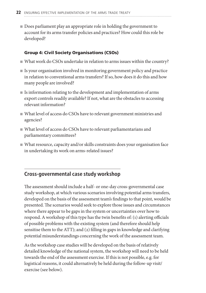Does parliament play an appropriate role in holding the government to account for its arms transfer policies and practices? How could this role be developed?

#### Group 4: Civil Society Organisations (CSOs)

- <sup>n</sup> What work do CSOs undertake in relation to arms issues within the country?
- $\blacksquare$  Is your organisation involved in monitoring government policy and practice in relation to conventional arms transfers? If so, how does it do this and how many people are involved?
- $\blacksquare$  Is information relating to the development and implementation of arms export controls readily available? If not, what are the obstacles to accessing relevant information?
- $\blacksquare$  What level of access do CSOs have to relevant government ministries and agencies?
- <sup>n</sup> What level of access do CSOs have to relevant parliamentarians and parliamentary committees?
- $\blacksquare$  What resource, capacity and/or skills constraints does your organisation face in undertaking its work on arms-related issues?

#### **Cross-governmental case study workshop**

The assessment should include a half- or one-day cross-governmental case study workshop, at which various scenarios involving potential arms transfers, developed on the basis of the assessment team's findings to that point, would be presented. The scenarios would seek to explore those issues and circumstances where there appear to be gaps in the system or uncertainties over how to respond. A workshop of this type has the twin benefits of: (1) alerting officials of possible problems with the existing system (and therefore should help sensitise them to the ATT); and (2) filling in gaps in knowledge and clarifying potential misunderstandings concerning the work of the assessment team.

As the workshop case studies will be developed on the basis of relatively detailed knowledge of the national system, the workshop will need to be held towards the end of the assessment exercise. If this is not possible, e.g. for logistical reasons, it could alternatively be held during the follow-up visit/ exercise (see below).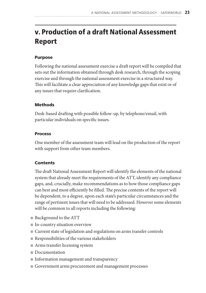## v. Production of a draft National Assessment Report

#### Purpose

Following the national assessment exercise a draft report will be compiled that sets out the information obtained through desk research, through the scoping exercise and through the national assessment exercise in a structured way. This will facilitate a clear appreciation of any knowledge gaps that exist or of any issues that require clarification.

#### **Methods**

Desk-based drafting with possible follow-up, by telephone/email, with particular individuals on specific issues.

#### Process

One member of the assessment team will lead on the production of the report with support from other team members.

#### **Contents**

The draft National Assessment Report will identify the elements of the national system that already meet the requirements of the ATT, identify any compliance gaps, and, crucially, make recommendations as to how those compliance gaps can best and most efficiently be filled. The precise contents of the report will be dependent, to a degree, upon each state's particular circumstances and the range of pertinent issues that will need to be addressed. However some elements will be common to all reports including the following:

- $\blacksquare$  Background to the ATT
- In-country situation overview
- <sup>n</sup> Current state of legislation and regulations on arms transfer controls
- $\blacksquare$  Responsibilities of the various stakeholders
- $\blacksquare$  Arms transfer licensing system
- Documentation
- Information management and transparency
- <sup>n</sup> Government arms procurement and management processes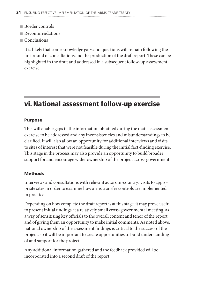- $\blacksquare$  Border controls
- <sup>n</sup> Recommendations
- $C$ onclusions

It is likely that some knowledge gaps and questions will remain following the first round of consultations and the production of the draft report. These can be highlighted in the draft and addressed in a subsequent follow-up assessment exercise.

## vi. National assessment follow-up exercise

#### Purpose

This will enable gaps in the information obtained during the main assessment exercise to be addressed and any inconsistencies and misunderstandings to be clarified. It will also allow an opportunity for additional interviews and visits to sites of interest that were not feasible during the initial fact-finding exercise. This stage in the process may also provide an opportunity to build broader support for and encourage wider ownership of the project across government.

#### Methods

Interviews and consultations with relevant actors in-country; visits to appropriate sites in order to examine how arms transfer controls are implemented in practice.

Depending on how complete the draft report is at this stage, it may prove useful to present initial findings at a relatively small cross-governmental meeting, as a way of sensitising key officials to the overall content and tenor of the report and of giving them an opportunity to make initial comments. As noted above, national ownership of the assessment findings is critical to the success of the project, so it will be important to create opportunities to build understanding of and support for the project.

Any additional information gathered and the feedback provided will be incorporated into a second draft of the report.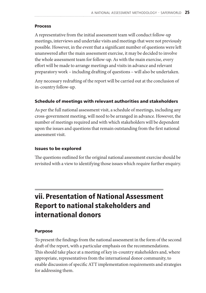#### **Process**

A representative from the initial assessment team will conduct follow-up meetings, interviews and undertake visits and meetings that were not previously possible. However, in the event that a significant number of questions were left unanswered after the main assessment exercise, it may be decided to involve the whole assessment team for follow-up. As with the main exercise, every effort will be made to arrange meetings and visits in advance and relevant preparatory work – including drafting of questions – will also be undertaken.

Any necessary redrafting of the report will be carried out at the conclusion of in-country follow-up.

#### Schedule of meetings with relevant authorities and stakeholders

As per the full national assessment visit, a schedule of meetings, including any cross-government meeting, will need to be arranged in advance. However, the number of meetings required and with which stakeholders will be dependent upon the issues and questions that remain outstanding from the first national assessment visit.

#### Issues to be explored

The questions outlined for the original national assessment exercise should be revisited with a view to identifying those issues which require further enquiry.

### vii. Presentation of National Assessment Report to national stakeholders and international donors

#### Purpose

To present the findings from the national assessment in the form of the second draft of the report, with a particular emphasis on the recommendations. This should take place at a meeting of key in-country stakeholders and, where appropriate, representatives from the international donor community, to enable discussion of specific ATT implementation requirements and strategies for addressing them.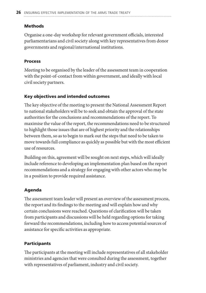#### **Methods**

Organise a one-day workshop for relevant government officials, interested parliamentarians and civil society along with key representatives from donor governments and regional/international institutions.

#### Process

Meeting to be organised by the leader of the assessment team in cooperation with the point-of-contact from within government, and ideally with local civil society partners.

#### Key objectives and intended outcomes

The key objective of the meeting to present the National Assessment Report to national stakeholders will be to seek and obtain the approval of the state authorities for the conclusions and recommendations of the report. To maximise the value of the report, the recommendations need to be structured to highlight those issues that are of highest priority and the relationships between them, so as to begin to mark out the steps that need to be taken to move towards full compliance as quickly as possible but with the most efficient use of resources.

Building on this, agreement will be sought on next steps, which will ideally include reference to developing an implementation plan based on the report recommendations and a strategy for engaging with other actors who may be in a position to provide required assistance.

#### Agenda

The assessment team leader will present an overview of the assessment process, the report and its findings to the meeting and will explain how and why certain conclusions were reached. Questions of clarification will be taken from participants and discussions will be held regarding options for taking forward the recommendations, including how to access potential sources of assistance for specific activities as appropriate.

#### Participants

The participants at the meeting will include representatives of all stakeholder ministries and agencies that were consulted during the assessment, together with representatives of parliament, industry and civil society.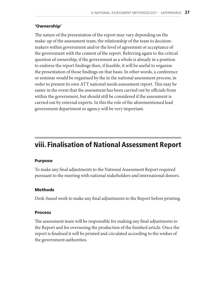#### 'Ownership'

The nature of the presentation of the report may vary depending on the make-up of the assessment team, the relationship of the team to decisionmakers within government and/or the level of agreement or acceptance of the government with the content of the report. Referring again to the critical question of ownership, if the government as a whole is already in a position to endorse the report findings then, if feasible, it will be useful to organise the presentation of those findings on that basis. In other words, a conference or seminar would be organised by the in the national assessment process, in order to present its own ATT national needs assessment report. This may be easier in the event that the assessment has been carried out by officials from within the government, but should still be considered if the assessment is carried out by external experts. In this the role of the aforementioned lead government department or agency will be very important.

### viii. Finalisation of National Assessment Report

#### Purpose

To make any final adjustments to the National Assessment Report required pursuant to the meeting with national stakeholders and international donors.

#### Methods

Desk-based work to make any final adjustments to the Report before printing.

#### Process

The assessment team will be responsible for making any final adjustments to the Report and for overseeing the production of the finished article. Once the report is finalised it will be printed and circulated according to the wishes of the government authorities.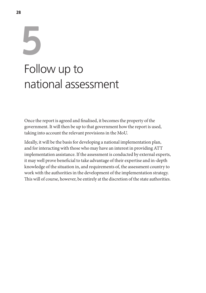## **5** Follow up to national assessment

Once the report is agreed and finalised, it becomes the property of the government. It will then be up to that government how the report is used, taking into account the relevant provisions in the MoU.

Ideally, it will be the basis for developing a national implementation plan, and for interacting with those who may have an interest in providing ATT implementation assistance. If the assessment is conducted by external experts, it may well prove beneficial to take advantage of their expertise and in-depth knowledge of the situation in, and requirements of, the assessment country to work with the authorities in the development of the implementation strategy. This will of course, however, be entirely at the discretion of the state authorities.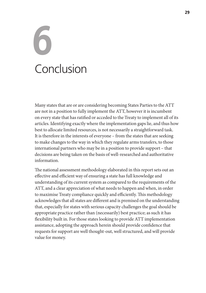# **6** Conclusion

Many states that are or are considering becoming States Parties to the ATT are not in a position to fully implement the ATT, however it is incumbent on every state that has ratified or acceded to the Treaty to implement all of its articles. Identifying exactly where the implementation gaps lie, and thus how best to allocate limited resources, is not necessarily a straightforward task. It is therefore in the interests of everyone – from the states that are seeking to make changes to the way in which they regulate arms transfers, to those international partners who may be in a position to provide support – that decisions are being taken on the basis of well-researched and authoritative information.

The national assessment methodology elaborated in this report sets out an effective and efficient way of ensuring a state has full knowledge and understanding of its current system as compared to the requirements of the ATT, and a clear appreciation of what needs to happen and when, in order to maximise Treaty compliance quickly and efficiently. This methodology acknowledges that all states are different and is premised on the understanding that, especially for states with serious capacity challenges the goal should be appropriate practice rather than (necessarily) best practice; as such it has flexibility built in. For those states looking to provide ATT implementation assistance, adopting the approach herein should provide confidence that requests for support are well thought-out, well structured, and will provide value for money.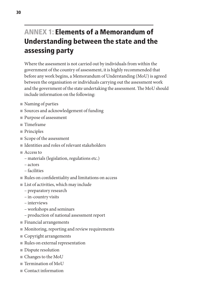## ANNEX 1: Elements of a Memorandum of Understanding between the state and the assessing party

Where the assessment is not carried out by individuals from within the government of the country of assessment, it is highly recommended that before any work begins, a Memorandum of Understanding (MoU) is agreed between the organisation or individuals carrying out the assessment work and the government of the state undertaking the assessment. The MoU should include information on the following:

- $\blacksquare$  Naming of parties
- Sources and acknowledgement of funding
- Purpose of assessment
- $\blacksquare$  Timeframe
- $\blacksquare$  Principles
- Scope of the assessment
- Identities and roles of relevant stakeholders
- $A<sub>c</sub>$  Access to
	- materials (legislation, regulations etc.)
	- actors
	- facilities
- $\blacksquare$  Rules on confidentiality and limitations on access
- $\blacksquare$  List of activities, which may include
	- preparatory research
	- in-country visits
	- interviews
	- workshops and seminars
	- production of national assessment report
- $\blacksquare$  Financial arrangements
- $\blacksquare$  Monitoring, reporting and review requirements
- $\blacksquare$  Copyright arrangements
- $\blacksquare$  Rules on external representation
- Dispute resolution
- $\blacksquare$  Changes to the MoU
- $\blacksquare$  Termination of MoU
- $\blacksquare$  Contact information